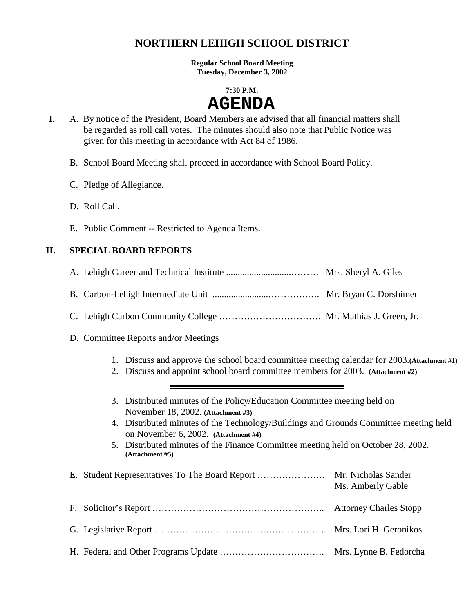# **NORTHERN LEHIGH SCHOOL DISTRICT**

**Regular School Board Meeting Tuesday, December 3, 2002** 

#### **7:30 P.M.**

# **AGENDA**

- **I.** A. By notice of the President, Board Members are advised that all financial matters shall be regarded as roll call votes. The minutes should also note that Public Notice was given for this meeting in accordance with Act 84 of 1986.
	- B. School Board Meeting shall proceed in accordance with School Board Policy.
	- C. Pledge of Allegiance.
	- D. Roll Call.
	- E. Public Comment -- Restricted to Agenda Items.

# **II. SPECIAL BOARD REPORTS**

- A. Lehigh Career and Technical Institute ............................……… Mrs. Sheryl A. Giles
- B. Carbon-Lehigh Intermediate Unit ........................………….…. Mr. Bryan C. Dorshimer
- C. Lehigh Carbon Community College …………………………… Mr. Mathias J. Green, Jr.
- D. Committee Reports and/or Meetings
	- 1. Discuss and approve the school board committee meeting calendar for 2003.**(Attachment #1)**
	- 2. Discuss and appoint school board committee members for 2003. **(Attachment #2)**
	- 3. Distributed minutes of the Policy/Education Committee meeting held on November 18, 2002. **(Attachment #3)**
	- 4. Distributed minutes of the Technology/Buildings and Grounds Committee meeting held on November 6, 2002. **(Attachment #4)**
	- 5. Distributed minutes of the Finance Committee meeting held on October 28, 2002**. (Attachment #5)**

|  | Ms. Amberly Gable |
|--|-------------------|
|  |                   |
|  |                   |
|  |                   |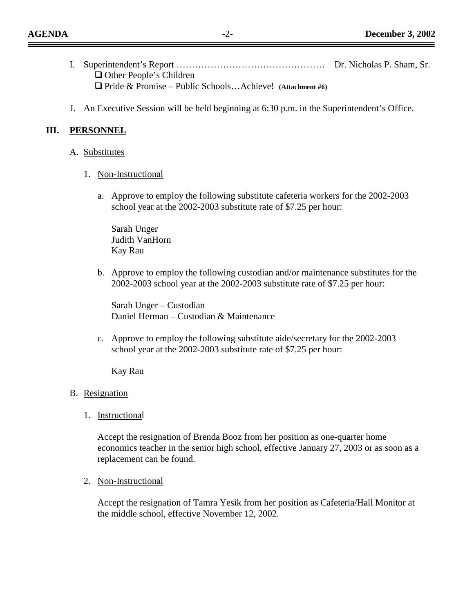| $\Box$ Other People's Children                                   |  |
|------------------------------------------------------------------|--|
| $\Box$ Pride & Promise – Public Schools Achieve! (Attachment #6) |  |

J. An Executive Session will be held beginning at 6:30 p.m. in the Superintendent's Office.

#### **III. PERSONNEL**

- A. Substitutes
	- 1. Non-Instructional
		- a. Approve to employ the following substitute cafeteria workers for the 2002-2003 school year at the 2002-2003 substitute rate of \$7.25 per hour:

Sarah Unger Judith VanHorn Kay Rau

b. Approve to employ the following custodian and/or maintenance substitutes for the 2002-2003 school year at the 2002-2003 substitute rate of \$7.25 per hour:

Sarah Unger – Custodian Daniel Herman – Custodian & Maintenance

c. Approve to employ the following substitute aide/secretary for the 2002-2003 school year at the 2002-2003 substitute rate of \$7.25 per hour:

Kay Rau

#### B. Resignation

1. Instructional

Accept the resignation of Brenda Booz from her position as one-quarter home economics teacher in the senior high school, effective January 27, 2003 or as soon as a replacement can be found.

2. Non-Instructional

Accept the resignation of Tamra Yesik from her position as Cafeteria/Hall Monitor at the middle school, effective November 12, 2002.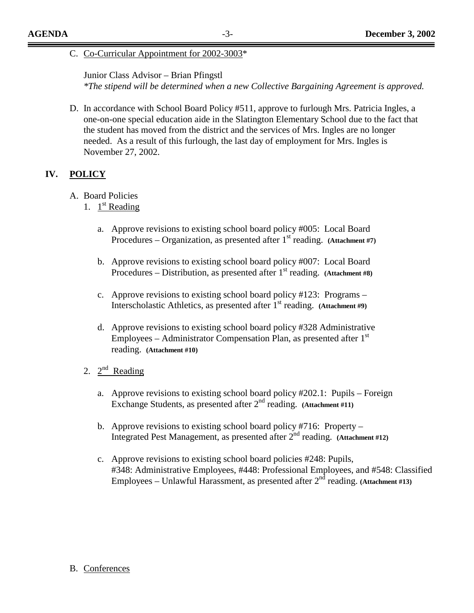#### C. Co-Curricular Appointment for 2002-3003\*

#### Junior Class Advisor – Brian Pfingstl

*\*The stipend will be determined when a new Collective Bargaining Agreement is approved.* 

D. In accordance with School Board Policy #511, approve to furlough Mrs. Patricia Ingles, a one-on-one special education aide in the Slatington Elementary School due to the fact that the student has moved from the district and the services of Mrs. Ingles are no longer needed. As a result of this furlough, the last day of employment for Mrs. Ingles is November 27, 2002.

#### **IV. POLICY**

- A. Board Policies
	- 1.  $1^{\text{st}}$  Reading
		- a. Approve revisions to existing school board policy #005: Local Board Procedures – Organization, as presented after 1<sup>st</sup> reading. **(Attachment #7)**
		- b. Approve revisions to existing school board policy #007: Local Board Procedures – Distribution, as presented after 1<sup>st</sup> reading. **(Attachment #8)**
		- c. Approve revisions to existing school board policy #123: Programs Interscholastic Athletics, as presented after 1<sup>st</sup> reading. **(Attachment #9)**
		- d. Approve revisions to existing school board policy #328 Administrative Employees – Administrator Compensation Plan, as presented after  $1<sup>st</sup>$ reading. **(Attachment #10)**
	- 2.  $2^{nd}$  Reading
		- a. Approve revisions to existing school board policy #202.1: Pupils Foreign Exchange Students, as presented after  $2<sup>nd</sup>$  reading. (Attachment #11)
		- b. Approve revisions to existing school board policy #716: Property Integrated Pest Management, as presented after 2<sup>nd</sup> reading. **(Attachment #12)**
		- c. Approve revisions to existing school board policies #248: Pupils, #348: Administrative Employees, #448: Professional Employees, and #548: Classified Employees – Unlawful Harassment, as presented after  $2^{n\bar{d}}$  reading. **(Attachment #13)**

#### B. Conferences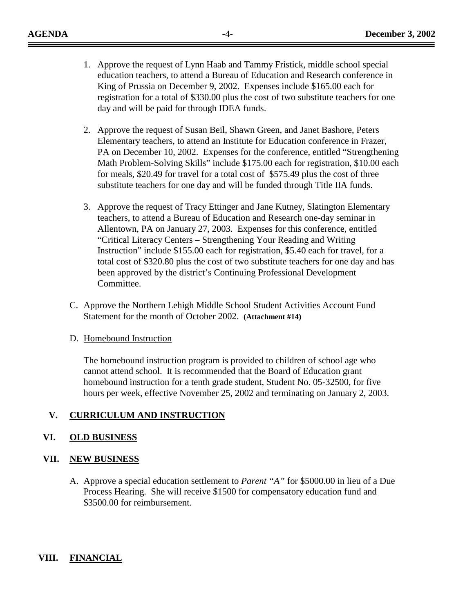- 1. Approve the request of Lynn Haab and Tammy Fristick, middle school special education teachers, to attend a Bureau of Education and Research conference in King of Prussia on December 9, 2002. Expenses include \$165.00 each for registration for a total of \$330.00 plus the cost of two substitute teachers for one day and will be paid for through IDEA funds.
- 2. Approve the request of Susan Beil, Shawn Green, and Janet Bashore, Peters Elementary teachers, to attend an Institute for Education conference in Frazer, PA on December 10, 2002. Expenses for the conference, entitled "Strengthening Math Problem-Solving Skills" include \$175.00 each for registration, \$10.00 each for meals, \$20.49 for travel for a total cost of \$575.49 plus the cost of three substitute teachers for one day and will be funded through Title IIA funds.
- 3. Approve the request of Tracy Ettinger and Jane Kutney, Slatington Elementary teachers, to attend a Bureau of Education and Research one-day seminar in Allentown, PA on January 27, 2003. Expenses for this conference, entitled "Critical Literacy Centers – Strengthening Your Reading and Writing Instruction" include \$155.00 each for registration, \$5.40 each for travel, for a total cost of \$320.80 plus the cost of two substitute teachers for one day and has been approved by the district's Continuing Professional Development Committee.
- C. Approve the Northern Lehigh Middle School Student Activities Account Fund Statement for the month of October 2002. **(Attachment #14)**

#### D. Homebound Instruction

The homebound instruction program is provided to children of school age who cannot attend school. It is recommended that the Board of Education grant homebound instruction for a tenth grade student, Student No. 05-32500, for five hours per week, effective November 25, 2002 and terminating on January 2, 2003.

#### **V. CURRICULUM AND INSTRUCTION**

#### **VI. OLD BUSINESS**

#### **VII. NEW BUSINESS**

A. Approve a special education settlement to *Parent "A"* for \$5000.00 in lieu of a Due Process Hearing. She will receive \$1500 for compensatory education fund and \$3500.00 for reimbursement.

# **VIII. FINANCIAL**